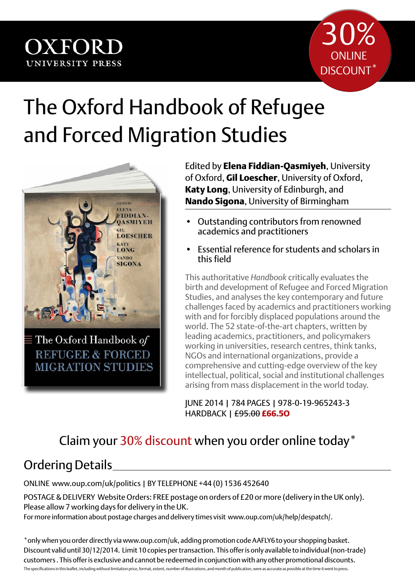

## The Oxford Handbook of Refugee and Forced Migration Studies



Edited by **Elena Fiddian-Qasmiyeh**, University of Oxford, **Gil Loescher**, University of Oxford, **Katy Long**, University of Edinburgh, and **Nando Sigona**, University of Birmingham

- Outstanding contributors from renowned academics and practitioners
- Essential reference for students and scholars in this field

This authoritative *Handbook* critically evaluates the birth and development of Refugee and Forced Migration Studies, and analyses the key contemporary and future challenges faced by academics and practitioners working with and for forcibly displaced populations around the world. The 52 state-of-the-art chapters, written by leading academics, practitioners, and policymakers working in universities, research centres, think tanks, NGOs and international organizations, provide a comprehensive and cutting-edge overview of the key intellectual, political, social and institutional challenges arising from mass displacement in the world today.

June 2014 | 784 pages | 978-0-19-965243-3 Hardback | £95.00 **£66.5o**

## Claim your 30% discount when you order online today\*

## Ordering Details

online www.oup.com/uk/politics | BY TELEPHONE +44 (0) 1536 452640

POSTAGE & DELIVERY Website Orders: FREE postage on orders of £20 or more (delivery in the UK only). Please allow 7 working days for delivery in the UK.

For more information about postage charges and delivery times visit www.oup.com/uk/help/despatch/.

\*only when you order directly via www.oup.com/uk, adding promotion code AAFLY6 to your shopping basket. Discount valid until 30/12/2014. Limit 10 copies per transaction. This offer is only available to individual (non-trade) customers . This offer is exclusive and cannot be redeemed in conjunction with any other promotional discounts. The specifications in this leaflet, including without limitation price, format, extent, number of illustrations, and month of publication, were as accurate as possible at the time it went to press.